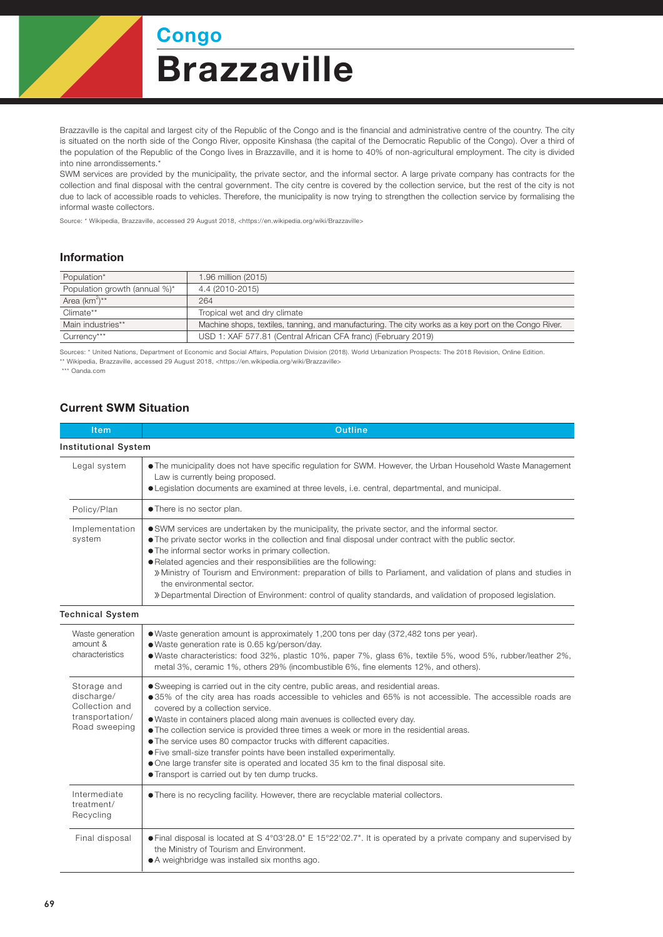**Brazzaville** Congo

Brazzaville is the capital and largest city of the Republic of the Congo and is the financial and administrative centre of the country. The city is situated on the north side of the Congo River, opposite Kinshasa (the capital of the Democratic Republic of the Congo). Over a third of the population of the Republic of the Congo lives in Brazzaville, and it is home to 40% of non-agricultural employment. The city is divided into nine arrondissements.\*

SWM services are provided by the municipality, the private sector, and the informal sector. A large private company has contracts for the collection and final disposal with the central government. The city centre is covered by the collection service, but the rest of the city is not due to lack of accessible roads to vehicles. Therefore, the municipality is now trying to strengthen the collection service by formalising the informal waste collectors.

Source: \* Wikipedia, Brazzaville, accessed 29 August 2018, <https://en.wikipedia.org/wiki/Brazzaville>

## Information

| Population*                   | 1.96 million (2015)                                                                                   |  |
|-------------------------------|-------------------------------------------------------------------------------------------------------|--|
| Population growth (annual %)* | 4.4 (2010-2015)                                                                                       |  |
| Area $(km^2)^{**}$            | 264                                                                                                   |  |
| Climate**                     | Tropical wet and dry climate                                                                          |  |
| Main industries**             | Machine shops, textiles, tanning, and manufacturing. The city works as a key port on the Congo River. |  |
| Currency***                   | USD 1: XAF 577.81 (Central African CFA franc) (February 2019)                                         |  |

Sources: \* United Nations, Department of Economic and Social Affairs, Population Division (2018). World Urbanization Prospects: The 2018 Revision, Online Edition. \*\* Wikipedia, Brazzaville, accessed 29 August 2018, <https://en.wikipedia.org/wiki/Brazzaville>

\*\*\* Oanda.com

## Current SWM Situation

| Item                                                                            | <b>Outline</b>                                                                                                                                                                                                                                                                                                                                                                                                                                                                                                                                                                                                                                                                                      |  |  |
|---------------------------------------------------------------------------------|-----------------------------------------------------------------------------------------------------------------------------------------------------------------------------------------------------------------------------------------------------------------------------------------------------------------------------------------------------------------------------------------------------------------------------------------------------------------------------------------------------------------------------------------------------------------------------------------------------------------------------------------------------------------------------------------------------|--|--|
| <b>Institutional System</b>                                                     |                                                                                                                                                                                                                                                                                                                                                                                                                                                                                                                                                                                                                                                                                                     |  |  |
| Legal system                                                                    | • The municipality does not have specific regulation for SWM. However, the Urban Household Waste Management<br>Law is currently being proposed.<br>• Legislation documents are examined at three levels, i.e. central, departmental, and municipal.                                                                                                                                                                                                                                                                                                                                                                                                                                                 |  |  |
| Policy/Plan                                                                     | • There is no sector plan.                                                                                                                                                                                                                                                                                                                                                                                                                                                                                                                                                                                                                                                                          |  |  |
| Implementation<br>system                                                        | • SWM services are undertaken by the municipality, the private sector, and the informal sector.<br>• The private sector works in the collection and final disposal under contract with the public sector.<br>• The informal sector works in primary collection.<br>. Related agencies and their responsibilities are the following:<br>» Ministry of Tourism and Environment: preparation of bills to Parliament, and validation of plans and studies in<br>the environmental sector.<br>» Departmental Direction of Environment: control of quality standards, and validation of proposed legislation.                                                                                             |  |  |
| <b>Technical System</b>                                                         |                                                                                                                                                                                                                                                                                                                                                                                                                                                                                                                                                                                                                                                                                                     |  |  |
| Waste generation<br>amount &<br>characteristics                                 | • Waste generation amount is approximately 1,200 tons per day (372,482 tons per year).<br>· Waste generation rate is 0.65 kg/person/day.<br>● Waste characteristics: food 32%, plastic 10%, paper 7%, glass 6%, textile 5%, wood 5%, rubber/leather 2%,<br>metal 3%, ceramic 1%, others 29% (incombustible 6%, fine elements 12%, and others).                                                                                                                                                                                                                                                                                                                                                      |  |  |
| Storage and<br>discharge/<br>Collection and<br>transportation/<br>Road sweeping | • Sweeping is carried out in the city centre, public areas, and residential areas.<br>●35% of the city area has roads accessible to vehicles and 65% is not accessible. The accessible roads are<br>covered by a collection service.<br>. Waste in containers placed along main avenues is collected every day.<br>• The collection service is provided three times a week or more in the residential areas.<br>• The service uses 80 compactor trucks with different capacities.<br>• Five small-size transfer points have been installed experimentally.<br>• One large transfer site is operated and located 35 km to the final disposal site.<br>• Transport is carried out by ten dump trucks. |  |  |
| Intermediate<br>treatment/<br>Recycling                                         | • There is no recycling facility. However, there are recyclable material collectors.                                                                                                                                                                                                                                                                                                                                                                                                                                                                                                                                                                                                                |  |  |
| Final disposal                                                                  | • Final disposal is located at S 4°03'28.0" E 15°22'02.7". It is operated by a private company and supervised by<br>the Ministry of Tourism and Environment.<br>• A weighbridge was installed six months ago.                                                                                                                                                                                                                                                                                                                                                                                                                                                                                       |  |  |